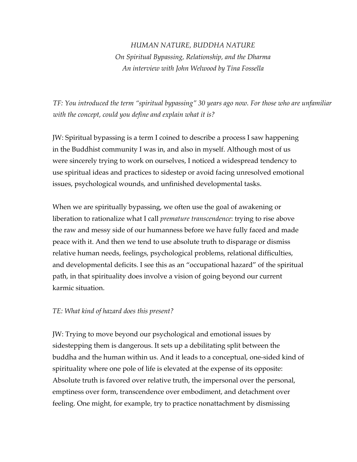*HUMAN NATURE, BUDDHA NATURE On Spiritual Bypassing, Relationship, and the Dharma An interview with John Welwood by Tina Fossella*

*TF: You introduced the term "spiritual bypassing" 30 years ago now. For those who are unfamiliar with the concept, could you define and explain what it is?*

JW: Spiritual bypassing is a term I coined to describe a process I saw happening in the Buddhist community I was in, and also in myself. Although most of us were sincerely trying to work on ourselves, I noticed a widespread tendency to use spiritual ideas and practices to sidestep or avoid facing unresolved emotional issues, psychological wounds, and unfinished developmental tasks.

When we are spiritually bypassing, we often use the goal of awakening or liberation to rationalize what I call *premature transcendence*: trying to rise above the raw and messy side of our humanness before we have fully faced and made peace with it. And then we tend to use absolute truth to disparage or dismiss relative human needs, feelings, psychological problems, relational difficulties, and developmental deficits. I see this as an "occupational hazard" of the spiritual path, in that spirituality does involve a vision of going beyond our current karmic situation.

## *TE: What kind of hazard does this present?*

JW: Trying to move beyond our psychological and emotional issues by sidestepping them is dangerous. It sets up a debilitating split between the buddha and the human within us. And it leads to a conceptual, one-sided kind of spirituality where one pole of life is elevated at the expense of its opposite: Absolute truth is favored over relative truth, the impersonal over the personal, emptiness over form, transcendence over embodiment, and detachment over feeling. One might, for example, try to practice nonattachment by dismissing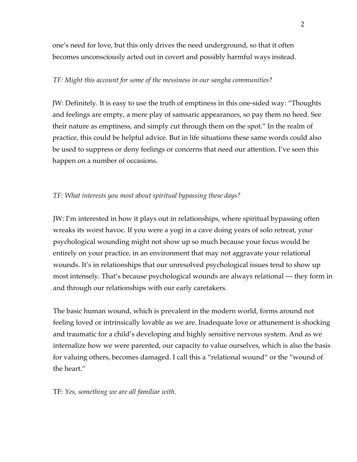one's need for love, but this only drives the need underground, so that it often becomes unconsciously acted out in covert and possibly harmful ways instead.

## *TF: Might this account for some of the messiness in our sangha communities?*

JW: Definitely. It is easy to use the truth of emptiness in this one-sided way: "Thoughts and feelings are empty, a mere play of samsaric appearances, so pay them no heed. See their nature as emptiness, and simply cut through them on the spot." In the realm of practice, this could be helpful advice. But in life situations these same words could also be used to suppress or deny feelings or concerns that need our attention. I've seen this happen on a number of occasions.

## *TF: What interests you most about spiritual bypassing these days?*

JW: I'm interested in how it plays out in relationships, where spiritual bypassing often wreaks its worst havoc. If you were a yogi in a cave doing years of solo retreat, your psychological wounding might not show up so much because your focus would be entirely on your practice, in an environment that may not aggravate your relational wounds. It's in relationships that our unresolved psychological issues tend to show up most intensely. That's because psychological wounds are always relational — they form in and through our relationships with our early caretakers.

The basic human wound, which is prevalent in the modern world, forms around not feeling loved or intrinsically lovable as we are. Inadequate love or attunement is shocking and traumatic for a child's developing and highly sensitive nervous system. And as we internalize how we were parented, our capacity to value ourselves, which is also the basis for valuing others, becomes damaged. I call this a "relational wound" or the "wound of the heart."

TF: *Yes, something we are all familiar with.*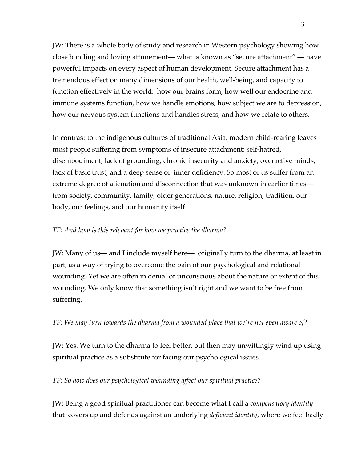JW: There is a whole body of study and research in Western psychology showing how close bonding and loving attunement— what is known as "secure attachment" — have powerful impacts on every aspect of human development. Secure attachment has a tremendous effect on many dimensions of our health, well-being, and capacity to function effectively in the world: how our brains form, how well our endocrine and immune systems function, how we handle emotions, how subject we are to depression, how our nervous system functions and handles stress, and how we relate to others.

In contrast to the indigenous cultures of traditional Asia, modern child-rearing leaves most people suffering from symptoms of insecure attachment: self-hatred, disembodiment, lack of grounding, chronic insecurity and anxiety, overactive minds, lack of basic trust, and a deep sense of inner deficiency. So most of us suffer from an extreme degree of alienation and disconnection that was unknown in earlier times from society, community, family, older generations, nature, religion, tradition, our body, our feelings, and our humanity itself.

# *TF: And how is this relevant for how we practice the dharma?*

JW: Many of us— and I include myself here— originally turn to the dharma, at least in part, as a way of trying to overcome the pain of our psychological and relational wounding. Yet we are often in denial or unconscious about the nature or extent of this wounding. We only know that something isn't right and we want to be free from suffering.

## *TF: We may turn towards the dharma from a wounded place that we're not even aware of?*

JW: Yes. We turn to the dharma to feel better, but then may unwittingly wind up using spiritual practice as a substitute for facing our psychological issues.

## *TF: So how does our psychological wounding affect our spiritual practice?*

JW: Being a good spiritual practitioner can become what I call a *compensatory identity*  that covers up and defends against an underlying *deficient identity*, where we feel badly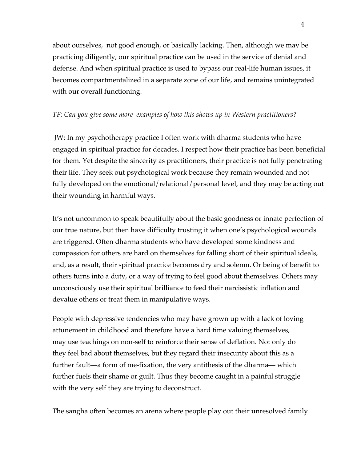about ourselves, not good enough, or basically lacking. Then, although we may be practicing diligently, our spiritual practice can be used in the service of denial and defense. And when spiritual practice is used to bypass our real-life human issues, it becomes compartmentalized in a separate zone of our life, and remains unintegrated with our overall functioning.

# *TF: Can you give some more examples of how this shows up in Western practitioners?*

JW: In my psychotherapy practice I often work with dharma students who have engaged in spiritual practice for decades. I respect how their practice has been beneficial for them. Yet despite the sincerity as practitioners, their practice is not fully penetrating their life. They seek out psychological work because they remain wounded and not fully developed on the emotional/relational/personal level, and they may be acting out their wounding in harmful ways.

It's not uncommon to speak beautifully about the basic goodness or innate perfection of our true nature, but then have difficulty trusting it when one's psychological wounds are triggered. Often dharma students who have developed some kindness and compassion for others are hard on themselves for falling short of their spiritual ideals, and, as a result, their spiritual practice becomes dry and solemn. Or being of benefit to others turns into a duty, or a way of trying to feel good about themselves. Others may unconsciously use their spiritual brilliance to feed their narcissistic inflation and devalue others or treat them in manipulative ways.

People with depressive tendencies who may have grown up with a lack of loving attunement in childhood and therefore have a hard time valuing themselves, may use teachings on non-self to reinforce their sense of deflation. Not only do they feel bad about themselves, but they regard their insecurity about this as a further fault—a form of me-fixation, the very antithesis of the dharma— which further fuels their shame or guilt. Thus they become caught in a painful struggle with the very self they are trying to deconstruct.

The sangha often becomes an arena where people play out their unresolved family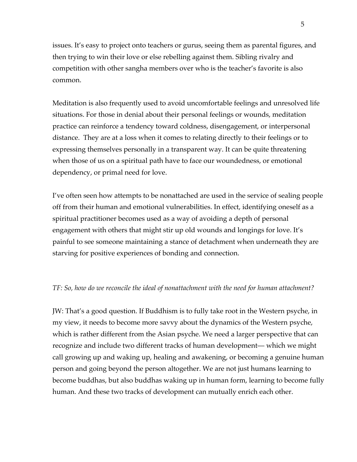issues. It's easy to project onto teachers or gurus, seeing them as parental figures, and then trying to win their love or else rebelling against them. Sibling rivalry and competition with other sangha members over who is the teacher's favorite is also common.

Meditation is also frequently used to avoid uncomfortable feelings and unresolved life situations. For those in denial about their personal feelings or wounds, meditation practice can reinforce a tendency toward coldness, disengagement, or interpersonal distance. They are at a loss when it comes to relating directly to their feelings or to expressing themselves personally in a transparent way. It can be quite threatening when those of us on a spiritual path have to face our woundedness, or emotional dependency, or primal need for love.

I've often seen how attempts to be nonattached are used in the service of sealing people off from their human and emotional vulnerabilities. In effect, identifying oneself as a spiritual practitioner becomes used as a way of avoiding a depth of personal engagement with others that might stir up old wounds and longings for love. It's painful to see someone maintaining a stance of detachment when underneath they are starving for positive experiences of bonding and connection.

## *TF: So, how do we reconcile the ideal of nonattachment with the need for human attachment?*

JW: That's a good question. If Buddhism is to fully take root in the Western psyche, in my view, it needs to become more savvy about the dynamics of the Western psyche, which is rather different from the Asian psyche. We need a larger perspective that can recognize and include two different tracks of human development— which we might call growing up and waking up, healing and awakening, or becoming a genuine human person and going beyond the person altogether. We are not just humans learning to become buddhas, but also buddhas waking up in human form, learning to become fully human. And these two tracks of development can mutually enrich each other.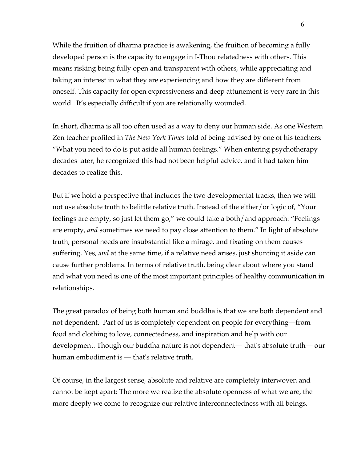While the fruition of dharma practice is awakening, the fruition of becoming a fully developed person is the capacity to engage in I-Thou relatedness with others. This means risking being fully open and transparent with others, while appreciating and taking an interest in what they are experiencing and how they are different from oneself. This capacity for open expressiveness and deep attunement is very rare in this world. It's especially difficult if you are relationally wounded.

In short, dharma is all too often used as a way to deny our human side. As one Western Zen teacher profiled in *The New York Times* told of being advised by one of his teachers: "What you need to do is put aside all human feelings." When entering psychotherapy decades later, he recognized this had not been helpful advice, and it had taken him decades to realize this.

But if we hold a perspective that includes the two developmental tracks, then we will not use absolute truth to belittle relative truth. Instead of the either/or logic of, "Your feelings are empty, so just let them go," we could take a both/and approach: "Feelings are empty, *and* sometimes we need to pay close attention to them." In light of absolute truth, personal needs are insubstantial like a mirage, and fixating on them causes suffering. Yes*, and* at the same time, if a relative need arises, just shunting it aside can cause further problems. In terms of relative truth, being clear about where you stand and what you need is one of the most important principles of healthy communication in relationships.

The great paradox of being both human and buddha is that we are both dependent and not dependent. Part of us is completely dependent on people for everything—from food and clothing to love, connectedness, and inspiration and help with our development. Though our buddha nature is not dependent— that's absolute truth— our human embodiment is — that's relative truth.

Of course, in the largest sense, absolute and relative are completely interwoven and cannot be kept apart: The more we realize the absolute openness of what we are, the more deeply we come to recognize our relative interconnectedness with all beings.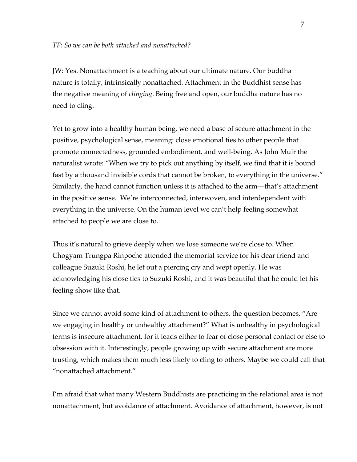JW: Yes. Nonattachment is a teaching about our ultimate nature. Our buddha nature is totally, intrinsically nonattached. Attachment in the Buddhist sense has the negative meaning of *clinging*. Being free and open, our buddha nature has no need to cling.

Yet to grow into a healthy human being, we need a base of secure attachment in the positive, psychological sense, meaning: close emotional ties to other people that promote connectedness, grounded embodiment, and well-being. As John Muir the naturalist wrote: "When we try to pick out anything by itself, we find that it is bound fast by a thousand invisible cords that cannot be broken, to everything in the universe." Similarly, the hand cannot function unless it is attached to the arm—that's attachment in the positive sense. We're interconnected, interwoven, and interdependent with everything in the universe. On the human level we can't help feeling somewhat attached to people we are close to.

Thus it's natural to grieve deeply when we lose someone we're close to. When Chogyam Trungpa Rinpoche attended the memorial service for his dear friend and colleague Suzuki Roshi, he let out a piercing cry and wept openly. He was acknowledging his close ties to Suzuki Roshi, and it was beautiful that he could let his feeling show like that.

Since we cannot avoid some kind of attachment to others, the question becomes, "Are we engaging in healthy or unhealthy attachment?" What is unhealthy in psychological terms is insecure attachment, for it leads either to fear of close personal contact or else to obsession with it. Interestingly, people growing up with secure attachment are more trusting, which makes them much less likely to cling to others. Maybe we could call that "nonattached attachment."

I'm afraid that what many Western Buddhists are practicing in the relational area is not nonattachment, but avoidance of attachment. Avoidance of attachment, however, is not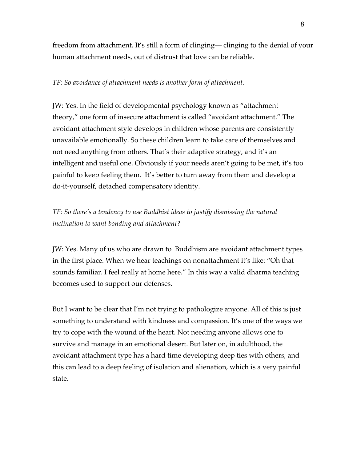freedom from attachment. It's still a form of clinging— clinging to the denial of your human attachment needs, out of distrust that love can be reliable.

### *TF: So avoidance of attachment needs is another form of attachment.*

JW: Yes. In the field of developmental psychology known as "attachment theory," one form of insecure attachment is called "avoidant attachment." The avoidant attachment style develops in children whose parents are consistently unavailable emotionally. So these children learn to take care of themselves and not need anything from others. That's their adaptive strategy, and it's an intelligent and useful one. Obviously if your needs aren't going to be met, it's too painful to keep feeling them. It's better to turn away from them and develop a do-it-yourself, detached compensatory identity.

*TF: So there's a tendency to use Buddhist ideas to justify dismissing the natural inclination to want bonding and attachment?* 

JW: Yes. Many of us who are drawn to Buddhism are avoidant attachment types in the first place. When we hear teachings on nonattachment it's like: "Oh that sounds familiar. I feel really at home here." In this way a valid dharma teaching becomes used to support our defenses.

But I want to be clear that I'm not trying to pathologize anyone. All of this is just something to understand with kindness and compassion. It's one of the ways we try to cope with the wound of the heart. Not needing anyone allows one to survive and manage in an emotional desert. But later on, in adulthood, the avoidant attachment type has a hard time developing deep ties with others, and this can lead to a deep feeling of isolation and alienation, which is a very painful state.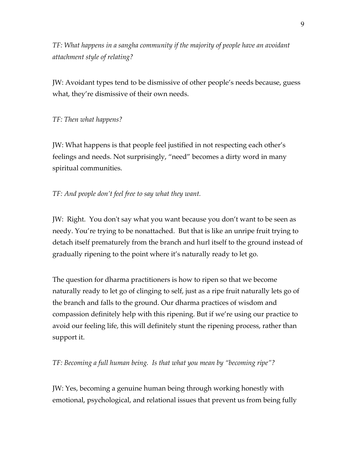*TF: What happens in a sangha community if the majority of people have an avoidant attachment style of relating?*

JW: Avoidant types tend to be dismissive of other people's needs because, guess what, they're dismissive of their own needs.

## *TF: Then what happens?*

JW: What happens is that people feel justified in not respecting each other's feelings and needs. Not surprisingly, "need" becomes a dirty word in many spiritual communities.

## *TF: And people don't feel free to say what they want.*

JW: Right. You don't say what you want because you don't want to be seen as needy. You're trying to be nonattached. But that is like an unripe fruit trying to detach itself prematurely from the branch and hurl itself to the ground instead of gradually ripening to the point where it's naturally ready to let go.

The question for dharma practitioners is how to ripen so that we become naturally ready to let go of clinging to self, just as a ripe fruit naturally lets go of the branch and falls to the ground. Our dharma practices of wisdom and compassion definitely help with this ripening. But if we're using our practice to avoid our feeling life, this will definitely stunt the ripening process, rather than support it.

#### *TF: Becoming a full human being. Is that what you mean by "becoming ripe"?*

JW: Yes, becoming a genuine human being through working honestly with emotional, psychological, and relational issues that prevent us from being fully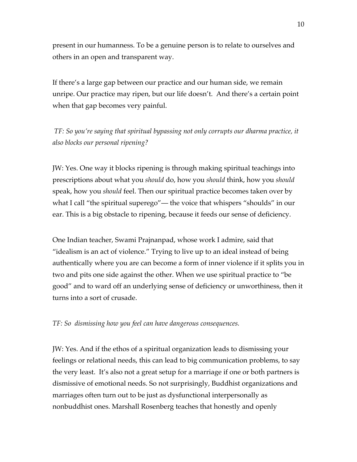present in our humanness. To be a genuine person is to relate to ourselves and others in an open and transparent way.

If there's a large gap between our practice and our human side, we remain unripe. Our practice may ripen, but our life doesn't. And there's a certain point when that gap becomes very painful.

*TF: So you're saying that spiritual bypassing not only corrupts our dharma practice, it also blocks our personal ripening?* 

JW: Yes. One way it blocks ripening is through making spiritual teachings into prescriptions about what you *should* do, how you *should* think, how you *should* speak, how you *should* feel. Then our spiritual practice becomes taken over by what I call "the spiritual superego"— the voice that whispers "shoulds" in our ear. This is a big obstacle to ripening, because it feeds our sense of deficiency.

One Indian teacher, Swami Prajnanpad, whose work I admire, said that "idealism is an act of violence." Trying to live up to an ideal instead of being authentically where you are can become a form of inner violence if it splits you in two and pits one side against the other. When we use spiritual practice to "be good" and to ward off an underlying sense of deficiency or unworthiness, then it turns into a sort of crusade.

*TF: So dismissing how you feel can have dangerous consequences.*

JW: Yes. And if the ethos of a spiritual organization leads to dismissing your feelings or relational needs, this can lead to big communication problems, to say the very least. It's also not a great setup for a marriage if one or both partners is dismissive of emotional needs. So not surprisingly, Buddhist organizations and marriages often turn out to be just as dysfunctional interpersonally as nonbuddhist ones. Marshall Rosenberg teaches that honestly and openly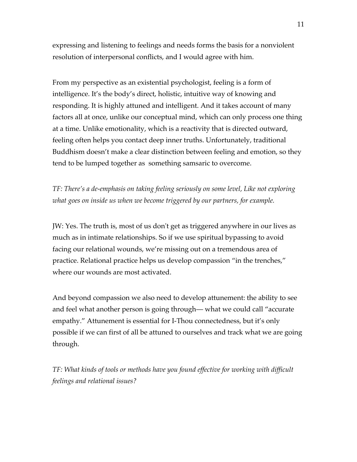expressing and listening to feelings and needs forms the basis for a nonviolent resolution of interpersonal conflicts, and I would agree with him.

From my perspective as an existential psychologist, feeling is a form of intelligence. It's the body's direct, holistic, intuitive way of knowing and responding. It is highly attuned and intelligent. And it takes account of many factors all at once, unlike our conceptual mind, which can only process one thing at a time. Unlike emotionality, which is a reactivity that is directed outward, feeling often helps you contact deep inner truths. Unfortunately, traditional Buddhism doesn't make a clear distinction between feeling and emotion, so they tend to be lumped together as something samsaric to overcome.

*TF: There's a de-emphasis on taking feeling seriously on some level, Like not exploring what goes on inside us when we become triggered by our partners, for example.*

JW: Yes. The truth is, most of us don't get as triggered anywhere in our lives as much as in intimate relationships. So if we use spiritual bypassing to avoid facing our relational wounds, we're missing out on a tremendous area of practice. Relational practice helps us develop compassion "in the trenches," where our wounds are most activated.

And beyond compassion we also need to develop attunement: the ability to see and feel what another person is going through— what we could call "accurate empathy." Attunement is essential for I-Thou connectedness, but it's only possible if we can first of all be attuned to ourselves and track what we are going through.

*TF: What kinds of tools or methods have you found effective for working with difficult feelings and relational issues?*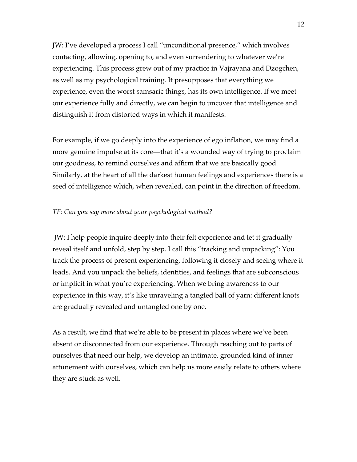JW: I've developed a process I call "unconditional presence," which involves contacting, allowing, opening to, and even surrendering to whatever we're experiencing. This process grew out of my practice in Vajrayana and Dzogchen, as well as my psychological training. It presupposes that everything we experience, even the worst samsaric things, has its own intelligence. If we meet our experience fully and directly, we can begin to uncover that intelligence and distinguish it from distorted ways in which it manifests.

For example, if we go deeply into the experience of ego inflation, we may find a more genuine impulse at its core—that it's a wounded way of trying to proclaim our goodness, to remind ourselves and affirm that we are basically good. Similarly, at the heart of all the darkest human feelings and experiences there is a seed of intelligence which, when revealed, can point in the direction of freedom.

### *TF: Can you say more about your psychological method?*

 JW: I help people inquire deeply into their felt experience and let it gradually reveal itself and unfold, step by step. I call this "tracking and unpacking": You track the process of present experiencing, following it closely and seeing where it leads. And you unpack the beliefs, identities, and feelings that are subconscious or implicit in what you're experiencing. When we bring awareness to our experience in this way, it's like unraveling a tangled ball of yarn: different knots are gradually revealed and untangled one by one.

As a result, we find that we're able to be present in places where we've been absent or disconnected from our experience. Through reaching out to parts of ourselves that need our help, we develop an intimate, grounded kind of inner attunement with ourselves, which can help us more easily relate to others where they are stuck as well.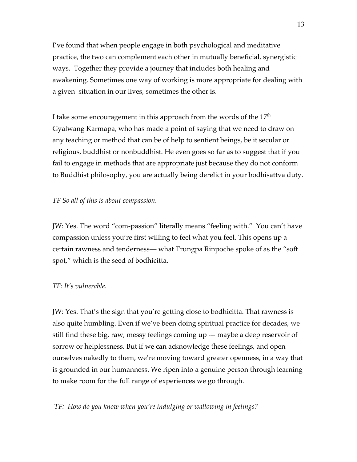I've found that when people engage in both psychological and meditative practice, the two can complement each other in mutually beneficial, synergistic ways. Together they provide a journey that includes both healing and awakening. Sometimes one way of working is more appropriate for dealing with a given situation in our lives, sometimes the other is.

I take some encouragement in this approach from the words of the  $17<sup>th</sup>$ Gyalwang Karmapa, who has made a point of saying that we need to draw on any teaching or method that can be of help to sentient beings, be it secular or religious, buddhist or nonbuddhist. He even goes so far as to suggest that if you fail to engage in methods that are appropriate just because they do not conform to Buddhist philosophy, you are actually being derelict in your bodhisattva duty.

## *TF So all of this is about compassion.*

JW: Yes. The word "com-passion" literally means "feeling with." You can't have compassion unless you're first willing to feel what you feel. This opens up a certain rawness and tenderness— what Trungpa Rinpoche spoke of as the "soft spot," which is the seed of bodhicitta.

#### *TF: It's vulnerable.*

JW: Yes. That's the sign that you're getting close to bodhicitta. That rawness is also quite humbling. Even if we've been doing spiritual practice for decades, we still find these big, raw, messy feelings coming up --- maybe a deep reservoir of sorrow or helplessness. But if we can acknowledge these feelings, and open ourselves nakedly to them, we're moving toward greater openness, in a way that is grounded in our humanness. We ripen into a genuine person through learning to make room for the full range of experiences we go through.

#### *TF: How do you know when you're indulging or wallowing in feelings?*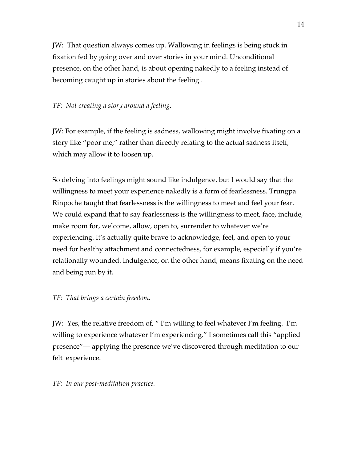JW: That question always comes up. Wallowing in feelings is being stuck in fixation fed by going over and over stories in your mind. Unconditional presence, on the other hand, is about opening nakedly to a feeling instead of becoming caught up in stories about the feeling .

# *TF: Not creating a story around a feeling.*

JW: For example, if the feeling is sadness, wallowing might involve fixating on a story like "poor me," rather than directly relating to the actual sadness itself, which may allow it to loosen up.

So delving into feelings might sound like indulgence, but I would say that the willingness to meet your experience nakedly is a form of fearlessness. Trungpa Rinpoche taught that fearlessness is the willingness to meet and feel your fear. We could expand that to say fearlessness is the willingness to meet, face, include, make room for, welcome, allow, open to, surrender to whatever we're experiencing. It's actually quite brave to acknowledge, feel, and open to your need for healthy attachment and connectedness, for example, especially if you're relationally wounded. Indulgence, on the other hand, means fixating on the need and being run by it.

## *TF: That brings a certain freedom.*

JW: Yes, the relative freedom of, " I'm willing to feel whatever I'm feeling. I'm willing to experience whatever I'm experiencing." I sometimes call this "applied presence"— applying the presence we've discovered through meditation to our felt experience.

*TF: In our post-meditation practice.*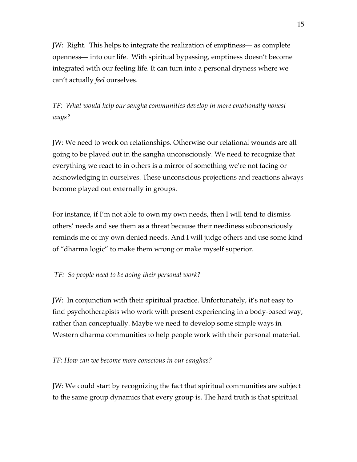JW: Right. This helps to integrate the realization of emptiness— as complete openness— into our life. With spiritual bypassing, emptiness doesn't become integrated with our feeling life. It can turn into a personal dryness where we can't actually *feel* ourselves.

*TF: What would help our sangha communities develop in more emotionally honest ways?*

JW: We need to work on relationships. Otherwise our relational wounds are all going to be played out in the sangha unconsciously. We need to recognize that everything we react to in others is a mirror of something we're not facing or acknowledging in ourselves. These unconscious projections and reactions always become played out externally in groups.

For instance, if I'm not able to own my own needs, then I will tend to dismiss others' needs and see them as a threat because their neediness subconsciously reminds me of my own denied needs. And I will judge others and use some kind of "dharma logic" to make them wrong or make myself superior.

## *TF: So people need to be doing their personal work?*

JW: In conjunction with their spiritual practice. Unfortunately, it's not easy to find psychotherapists who work with present experiencing in a body-based way, rather than conceptually. Maybe we need to develop some simple ways in Western dharma communities to help people work with their personal material.

*TF: How can we become more conscious in our sanghas?* 

JW: We could start by recognizing the fact that spiritual communities are subject to the same group dynamics that every group is. The hard truth is that spiritual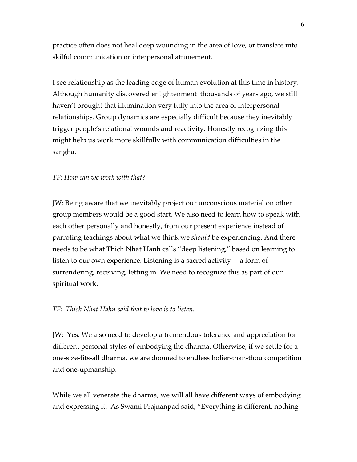practice often does not heal deep wounding in the area of love, or translate into skilful communication or interpersonal attunement.

I see relationship as the leading edge of human evolution at this time in history. Although humanity discovered enlightenment thousands of years ago, we still haven't brought that illumination very fully into the area of interpersonal relationships. Group dynamics are especially difficult because they inevitably trigger people's relational wounds and reactivity. Honestly recognizing this might help us work more skillfully with communication difficulties in the sangha.

#### *TF: How can we work with that?*

JW: Being aware that we inevitably project our unconscious material on other group members would be a good start. We also need to learn how to speak with each other personally and honestly, from our present experience instead of parroting teachings about what we think we *should* be experiencing. And there needs to be what Thich Nhat Hanh calls "deep listening," based on learning to listen to our own experience. Listening is a sacred activity— a form of surrendering, receiving, letting in. We need to recognize this as part of our spiritual work.

#### *TF: Thich Nhat Hahn said that to love is to listen.*

JW: Yes. We also need to develop a tremendous tolerance and appreciation for different personal styles of embodying the dharma. Otherwise, if we settle for a one-size-fits-all dharma, we are doomed to endless holier-than-thou competition and one-upmanship.

While we all venerate the dharma, we will all have different ways of embodying and expressing it. As Swami Prajnanpad said, "Everything is different, nothing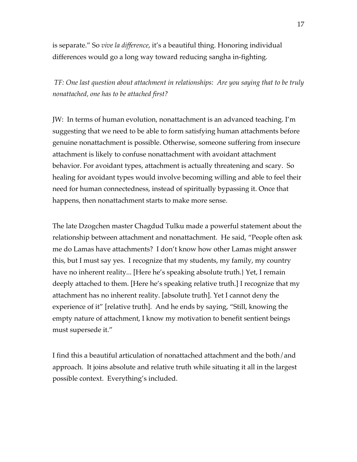is separate." So *vive la difference*, it's a beautiful thing. Honoring individual differences would go a long way toward reducing sangha in-fighting.

*TF: One last question about attachment in relationships: Are you saying that to be truly nonattached, one has to be attached first?*

JW: In terms of human evolution, nonattachment is an advanced teaching. I'm suggesting that we need to be able to form satisfying human attachments before genuine nonattachment is possible. Otherwise, someone suffering from insecure attachment is likely to confuse nonattachment with avoidant attachment behavior. For avoidant types, attachment is actually threatening and scary. So healing for avoidant types would involve becoming willing and able to feel their need for human connectedness, instead of spiritually bypassing it. Once that happens, then nonattachment starts to make more sense.

The late Dzogchen master Chagdud Tulku made a powerful statement about the relationship between attachment and nonattachment. He said, "People often ask me do Lamas have attachments? I don't know how other Lamas might answer this, but I must say yes. I recognize that my students, my family, my country have no inherent reality... [Here he's speaking absolute truth.} Yet, I remain deeply attached to them. [Here he's speaking relative truth.] I recognize that my attachment has no inherent reality. [absolute truth]. Yet I cannot deny the experience of it" [relative truth]. And he ends by saying, "Still, knowing the empty nature of attachment, I know my motivation to benefit sentient beings must supersede it."

I find this a beautiful articulation of nonattached attachment and the both/and approach. It joins absolute and relative truth while situating it all in the largest possible context. Everything's included.